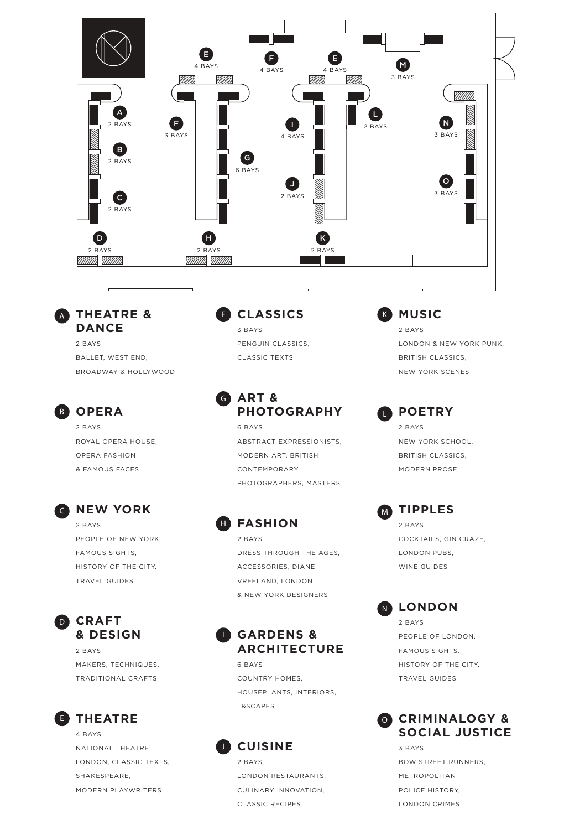

**THEATRE &**  A **DANCE** 2 BAYS

> BALLET, WEST END, BROADWAY & HOLLYWOOD

## **B** OPERA

2 BAYS ROYAL OPERA HOUSE, OPERA FASHION & FAMOUS FACES

### **C** NEW YORK

2 BAYS PEOPLE OF NEW YORK, FAMOUS SIGHTS, HISTORY OF THE CITY, TRAVEL GUIDES

### **CRAFT** D **& DESIGN**

2 BAYS MAKERS, TECHNIQUES, TRADITIONAL CRAFTS

### **E** THEATRE

4 BAYS NATIONAL THEATRE LONDON, CLASSIC TEXTS, SHAKESPEARE, MODERN **PLAYWRITERS** 

#### **CLASSICS** F

3 BAYS PENGUIN CLASSICS, CLASSIC TEXTS

#### **ART & PHOTOGRAPHY** G

6 BAYS ABSTRACT EXPRESSIONISTS, MODERN ART, BRITISH CONTEMPORARY PHOTOGRAPHERS, MASTERS

**FASHION** H 2 BAYS DRESS THROUGH THE AGES, ACCESSORIES, DIANE VREELAND, LONDON & NEW YORK DESIGNERS

### **GARDENS &**  I **ARCHITECTURE**

6 BAYS COUNTRY HOMES, HOUSEPLANTS, INTERIORS, L&SCAPES

# **CUISINE**

J

2 BAYS LONDON RESTAURANTS, CULINARY INNOVATION, CLASSIC RECIPES

**MUSIC** 2 BAYS K

L

LONDON & NEW YORK PUNK, BRITISH CLASSICS, NEW YORK SCENES

**POETRY** 2 BAYS NEW YORK SCHOOL, BRITISH CLASSICS,

MODERN PROSE



COCKTAILS, GIN CRAZE, LONDON PUBS, WINE GUIDES

#### **LONDON** N

2 BAYS PEOPLE OF LONDON, FAMOUS SIGHTS, HISTORY OF THE CITY, TRAVEL GUIDES



3 BAYS BOW STREET RUNNERS, METROPOLITAN POLICE HISTORY, LONDON CRIMES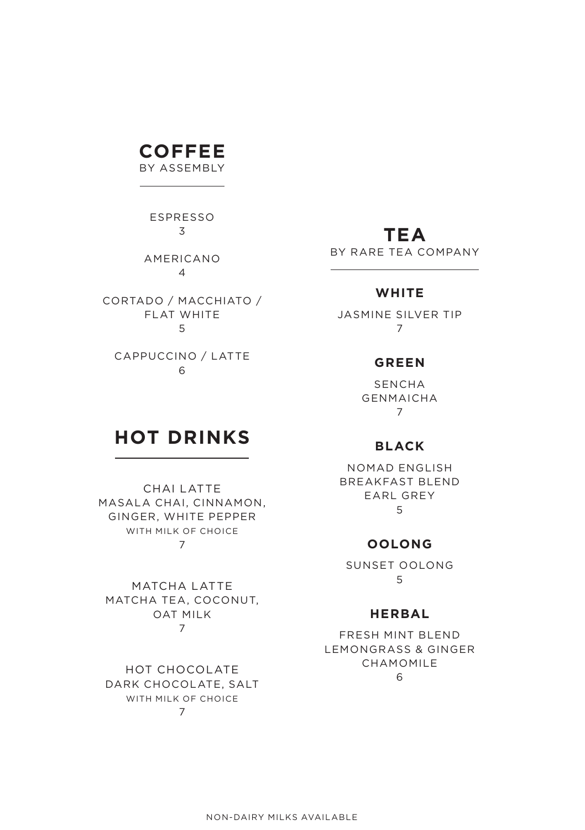# **COFFEE**

BY ASSEMBLY

ESPRESSO 3

AMERICANO 4

CORTADO / MACCHIATO / FLAT WHITE 5

CAPPUCCINO / LATTE 6

# **TEA**

BY RARE TEA COMPANY

### **WHITE**

JASMINE SILVER TIP 7

#### **GREEN**

SENCHA GENMAICHA 7

# **HOT DRINKS**

CHAI LATTE MASALA CHAI, CINNAMON, GINGER, WHITE PEPPER WITH MILK OF CHOICE 7

MATCHA LATTE MATCHA TEA, COCONUT, OAT MILK 7

HOT CHOCOLATE DARK CHOCOLATE, SALT WITH MILK OF CHOICE 7

# **BLACK**

NOMAD ENGLISH BREAKFAST BLEND EARL GREY 5

#### **OOLONG**

SUNSET OOLONG 5

#### **HERBAL**

FRESH MINT BLEND LEMONGRASS & GINGER CHAMOMILE 6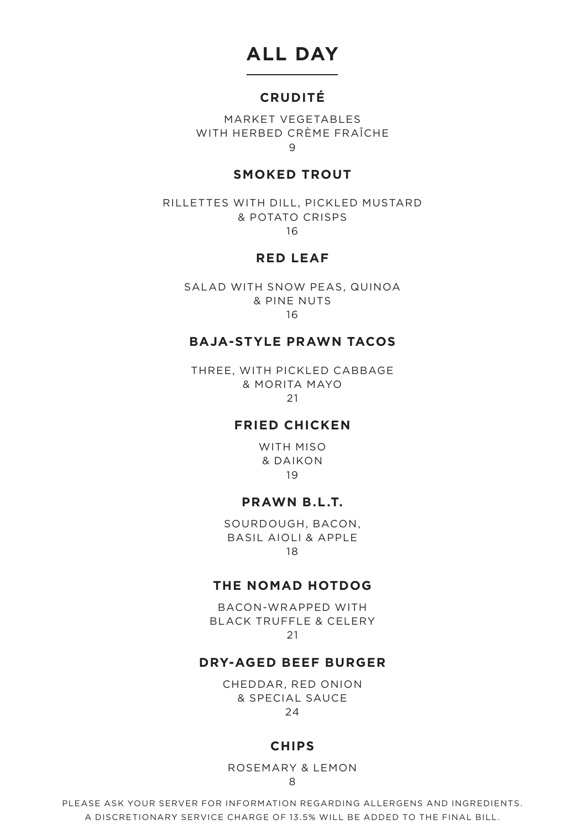# **ALL DAY**

### **CRUDITÉ**

MARKET VEGETABLES WITH HERBED CRÈME FRAÎCHE 9

### **SMOKED TROUT**

RILLETTES WITH DILL, PICKLED MUSTARD & POTATO CRISPS 16

**RED LEAF**

SALAD WITH SNOW PEAS, QUINOA & PINE NUTS 16

#### **BAJA-STYLE PRAWN TACOS**

THREE, WITH PICKLED CABBAGE & MORITA MAYO 21

### **FRIED CHICKEN**

WITH MISO & DAIKON 19

#### **PRAWN B.L.T.**

SOURDOUGH, BACON, BASIL AIOLI & APPLE 18

### **THE NOMAD HOTDOG**

BACON-WRAPPED WITH BLACK TRUFFLE & CELERY 21

### **DRY-AGED BEEF BURGER**

CHEDDAR, RED ONION & SPECIAL SAUCE 24

#### **CHIPS**

ROSEMARY & LEMON 8

PLEASE ASK YOUR SERVER FOR INFORMATION REGARDING ALLERGENS AND INGREDIENTS. A DISCRETIONARY SERVICE CHARGE OF 13.5% WILL BE ADDED TO THE FINAL BILL.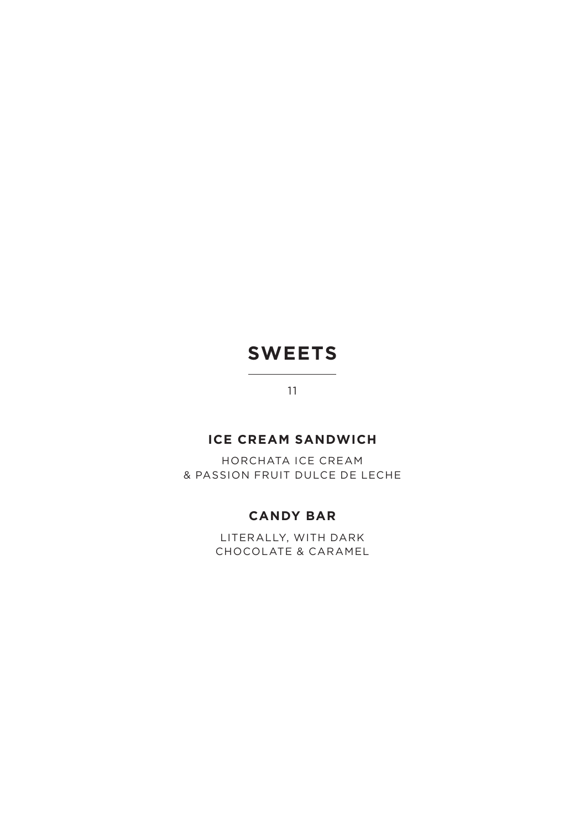# **SWEETS**

11

## **ICE CREAM SANDWICH**

HORCHATA ICE CREAM & PASSION FRUIT DULCE DE LECHE

## **CANDY BAR**

LITERALLY, WITH DARK CHOCOLATE & CARAMEL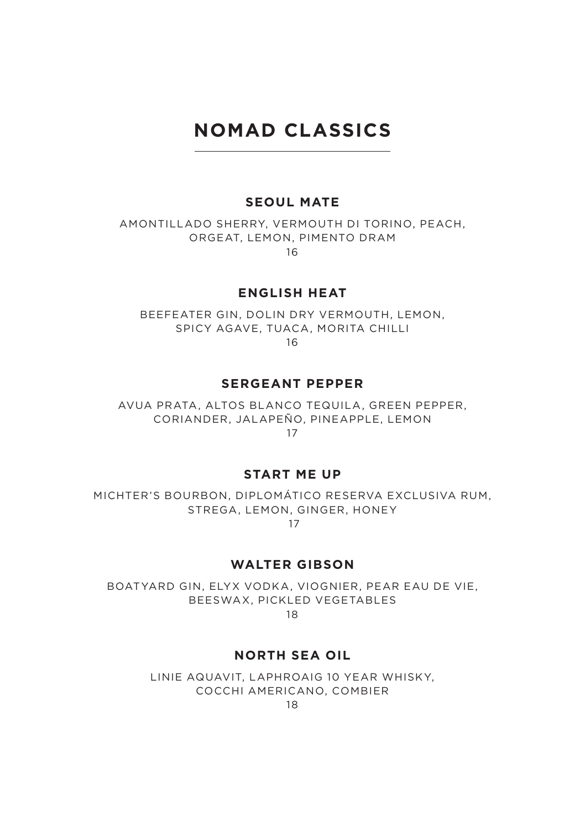# **NOMAD CLASSICS**

#### **SEOUL MATE**

AMONTILLADO SHERRY, VERMOUTH DI TORINO, PEACH, ORGEAT, LEMON, PIMENTO DRAM 16

#### **ENGLISH HEAT**

BEEFEATER GIN, DOLIN DRY VERMOUTH, LEMON, SPICY AGAVE, TUACA, MORITA CHILLI 16

#### **SERGEANT PEPPER**

AVUA PRATA, ALTOS BLANCO TEQUILA, GREEN PEPPER, CORIANDER, JALAPEÑO, PINEAPPLE, LEMON 17

#### **START ME UP**

MICHTER'S BOURBON, DIPLOMÁTICO RESERVA EXCLUSIVA RUM, STREGA, LEMON, GINGER, HONEY 17

#### **WALTER GIBSON**

BOATYARD GIN, ELYX VODKA, VIOGNIER, PEAR EAU DE VIE, BEESWAX, PICKLED VEGETABLES 18

# **NORTH SEA OIL**

LINIE AQUAVIT, LAPHROAIG 10 YEAR WHISKY,

COCCHI AMERICANO, COMBIER

18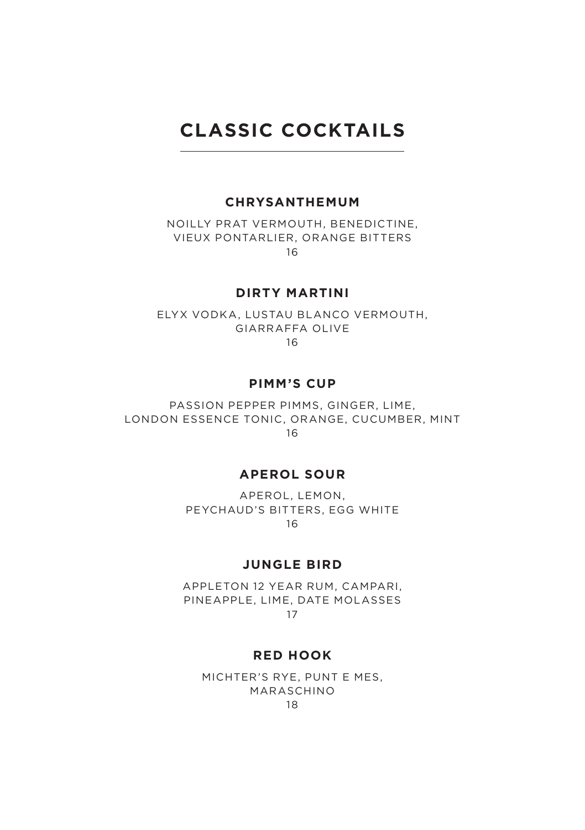# **CLASSIC COCKTAILS**

#### **CHRYSANTHEMUM**

NOILLY PRAT VERMOUTH, BENEDICTINE, VIEUX PONTARLIER, ORANGE BITTERS 16

**DIRTY MARTINI**

ELYX VODKA, LUSTAU BLANCO VERMOUTH, GIARRAFFA OLIVE 16

**PIMM'S CUP**

PASSION PEPPER PIMMS, GINGER, LIME, LONDON ESSENCE TONIC, ORANGE, CUCUMBER, MINT 16

#### **APEROL SOUR**

APEROL, LEMON, PEYCHAUD'S BITTERS, EGG WHITE 16

**JUNGLE BIRD**

APPLETON 12 YEAR RUM, CAMPARI, PINEAPPLE, LIME, DATE MOLASSES 17

#### **RED HOOK**

MICHTER'S RYE, PUNT E MES, MARASCHINO 18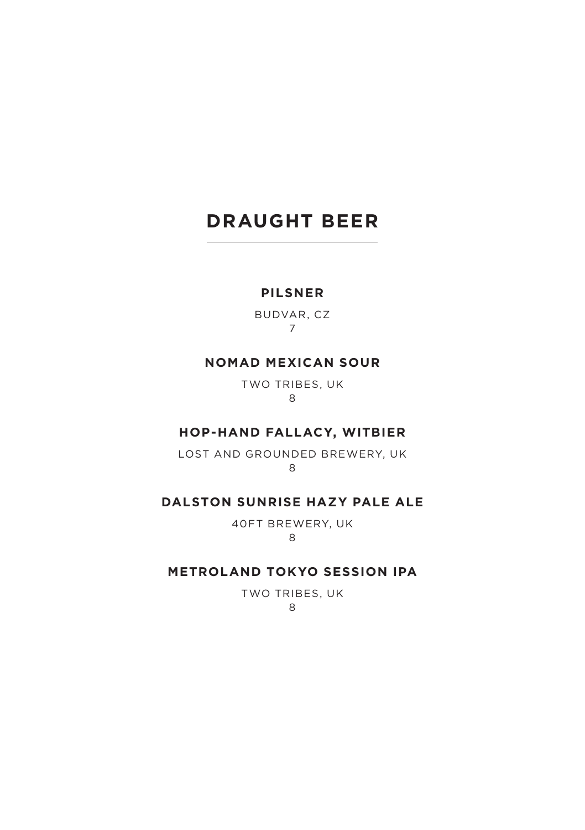# **DRAUGHT BEER**

### **PILSNER**

BUDVAR, CZ 7

### **NOMAD MEXICAN SOUR**

TWO TRIBES, UK 8

#### **HOP-HAND FALLACY, WITBIER**

LOST AND GROUNDED BREWERY, UK 8

#### **DALSTON SUNRISE HAZY PALE ALE**

40FT BREWERY, UK 8

#### **METROLAND TOKYO SESSION IPA**

TWO TRIBES, UK 8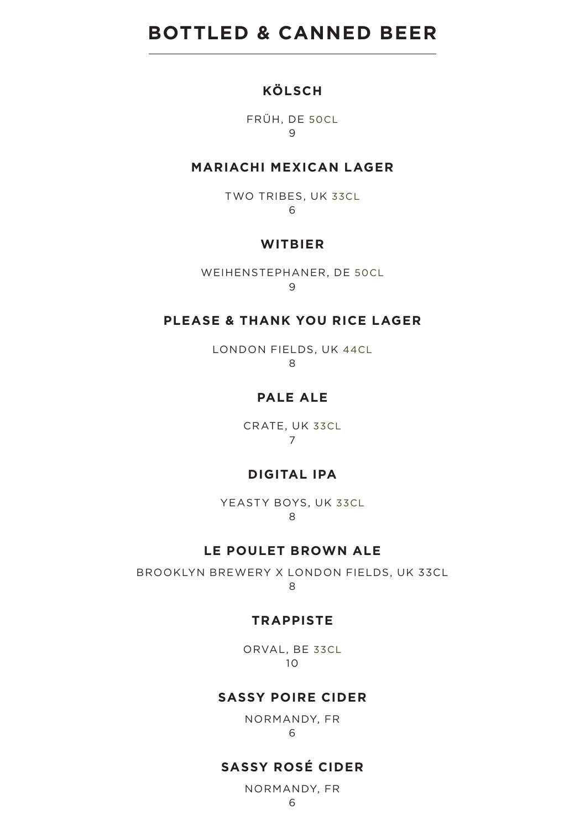# **BOTTLED & CANNED BEER**

### **KÖLSCH**

FRÜH, DE 50CL 9

#### **MARIACHI MEXICAN LAGER**

TWO TRIBES, UK 33CL 6

### **WITBIER**

WEIHENSTEPHANER, DE 50CL 9

#### **PLEASE & THANK YOU RICE LAGER**

LONDON FIELDS, UK 44CL  $\overline{R}$ 

### **PALE ALE**

CRATE, UK 33CL 7

### **DIGITAL IPA**

YEASTY BOYS, UK 33CL 8

### **LE POULET BROWN ALE**

BROOKLYN BREWERY X LONDON FIELDS, UK 33CL 8

#### **TRAPPISTE**

ORVAL, BE 33CL 10

#### **SASSY POIRE CIDER**

NORMANDY, FR 6

### **SASSY ROSÉ CIDER**

NORMANDY, FR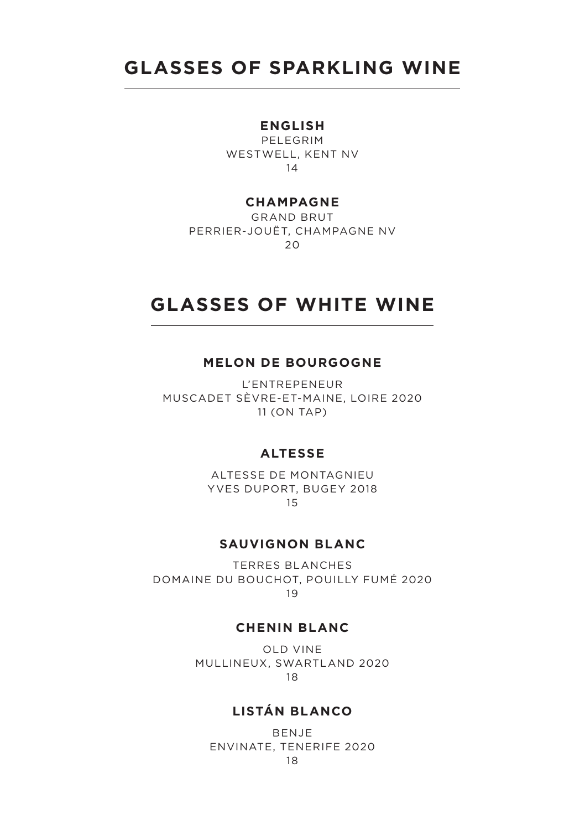# **GLASSES OF SPARKLING WINE**

#### **ENGLISH**

PELEGRIM WESTWELL, KENT NV 14

#### **CHAMPAGNE**

GRAND BRUT PERRIER-JOUËT, CHAMPAGNE NV  $20$ 

# **GLASSES OF WHITE WINE**

#### **MELON DE BOURGOGNE**

L'ENTREPENEUR MUSCADET SÈVRE-ET-MAINE, LOIRE 2020 11 (ON TAP)

#### **ALTESSE**

ALTESSE DE MONTAGNIEU YVES DUPORT, BUGEY 2018 15

#### **SAUVIGNON BLANC**

TERRES BLANCHES DOMAINE DU BOUCHOT, POUILLY FUMÉ 2020 19

#### **CHENIN BLANC**

OLD VINE MULLINEUX, SWARTLAND 2020 18

### **LISTÁN BLANCO**

BENJE ENVINATE, TENERIFE 2020 18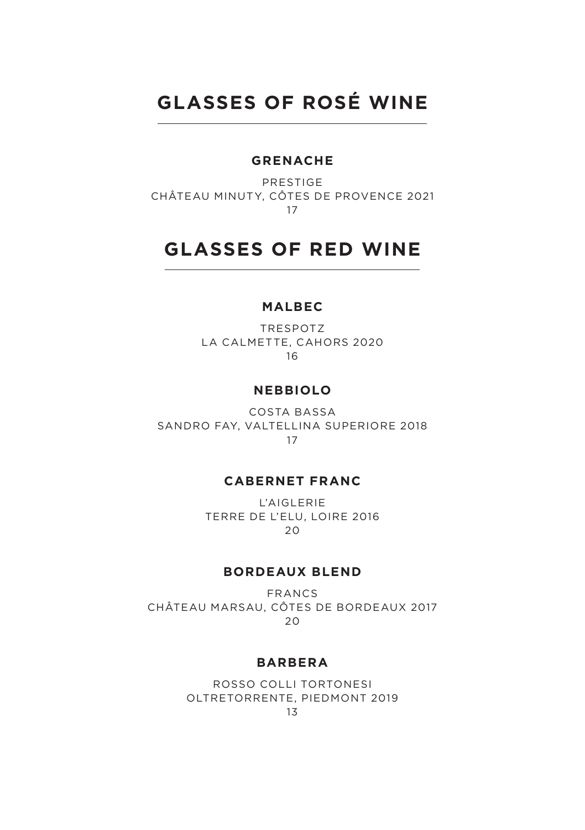# **GLASSES OF ROSÉ WINE**

### **GRENACHE**

PRESTIGE CHÂTEAU MINUTY, CÔTES DE PROVENCE 2021 17

# **GLASSES OF RED WINE**

#### **MALBEC**

TRESPOTZ LA CALMETTE, CAHORS 2020 16

#### **NEBBIOLO**

COSTA BASSA SANDRO FAY, VALTELLINA SUPERIORE 2018 17

#### **CABERNET FRANC**

L'AIGLERIE TERRE DE L'ELU, LOIRE 2016 20

#### **BORDEAUX BLEND**

FRANCS CHÂTEAU MARSAU, CÔTES DE BORDEAUX 2017 20

#### **BARBERA**

ROSSO COLLI TORTONESI OLTRETORRENTE, PIEDMONT 2019 13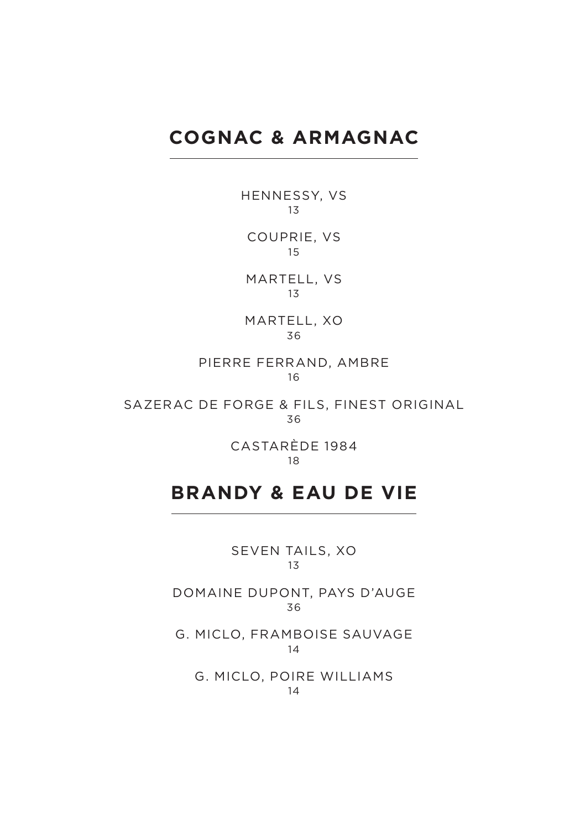# **COGNAC & ARMAGNAC**

HENNESSY, VS 13

COUPRIE, VS 15

MARTELL, VS 13

MARTELL, XO 36

PIERRE FERRAND, AMBRE 16

SAZERAC DE FORGE & FILS, FINEST ORIGINAL 36

> CASTARÈDE 1984 18

# **BRANDY & EAU DE VIE**

SEVEN TAILS, XO 13

DOMAINE DUPONT, PAYS D'AUGE 36

G. MICLO, FRAMBOISE SAUVAGE 14

G. MICLO, POIRE WILLIAMS 14